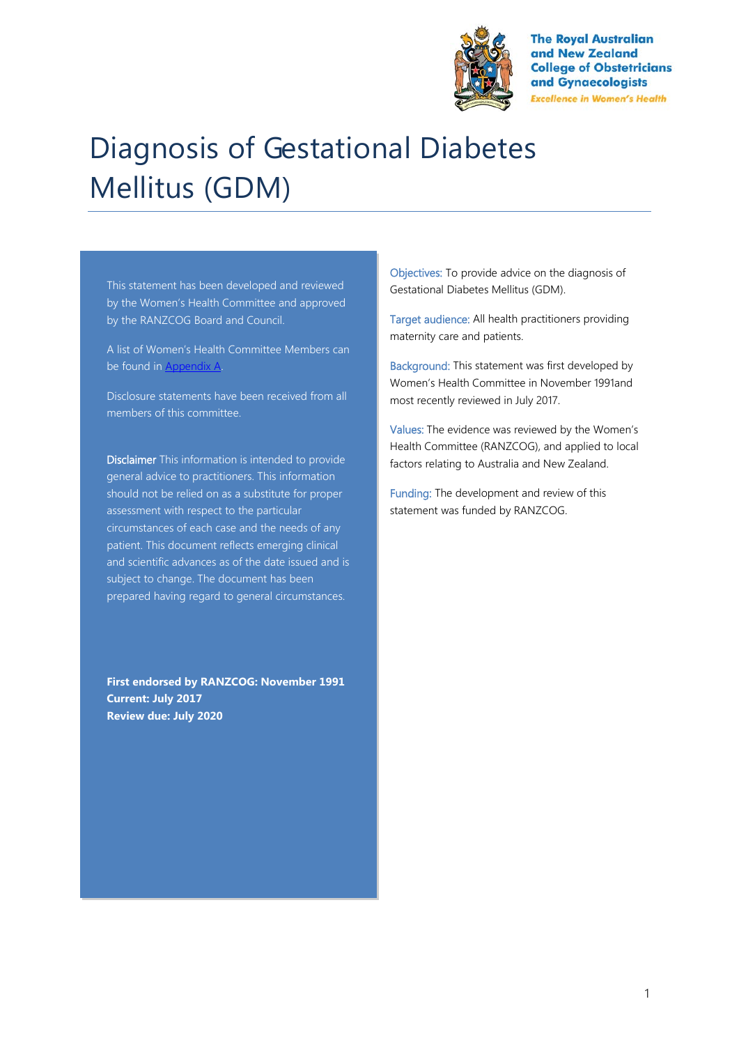

**The Roval Australian** and New Zealand **College of Obstetricians** and Gynaecologists **Excellence in Women's Health** 

# Diagnosis of Gestational Diabetes Mellitus (GDM)

This statement has been developed and reviewed by the Women's Health Committee and approved by the RANZCOG Board and Council.

A list of Women's Health Committee Members can be found in Appendix A.

Disclosure statements have been received from all members of this committee.

Disclaimer This information is intended to provide general advice to practitioners. This information should not be relied on as a substitute for proper assessment with respect to the particular circumstances of each case and the needs of any patient. This document reflects emerging clinical and scientific advances as of the date issued and is subject to change. The document has been prepared having regard to general circumstances.

**First endorsed by RANZCOG: November 1991 Current: July 2017 Review due: July 2020**

Objectives: To provide advice on the diagnosis of Gestational Diabetes Mellitus (GDM).

Target audience: All health practitioners providing maternity care and patients.

Background: This statement was first developed by Women's Health Committee in November 1991and most recently reviewed in July 2017.

Values: The evidence was reviewed by the Women's Health Committee (RANZCOG), and applied to local factors relating to Australia and New Zealand.

Funding: The development and review of this statement was funded by RANZCOG.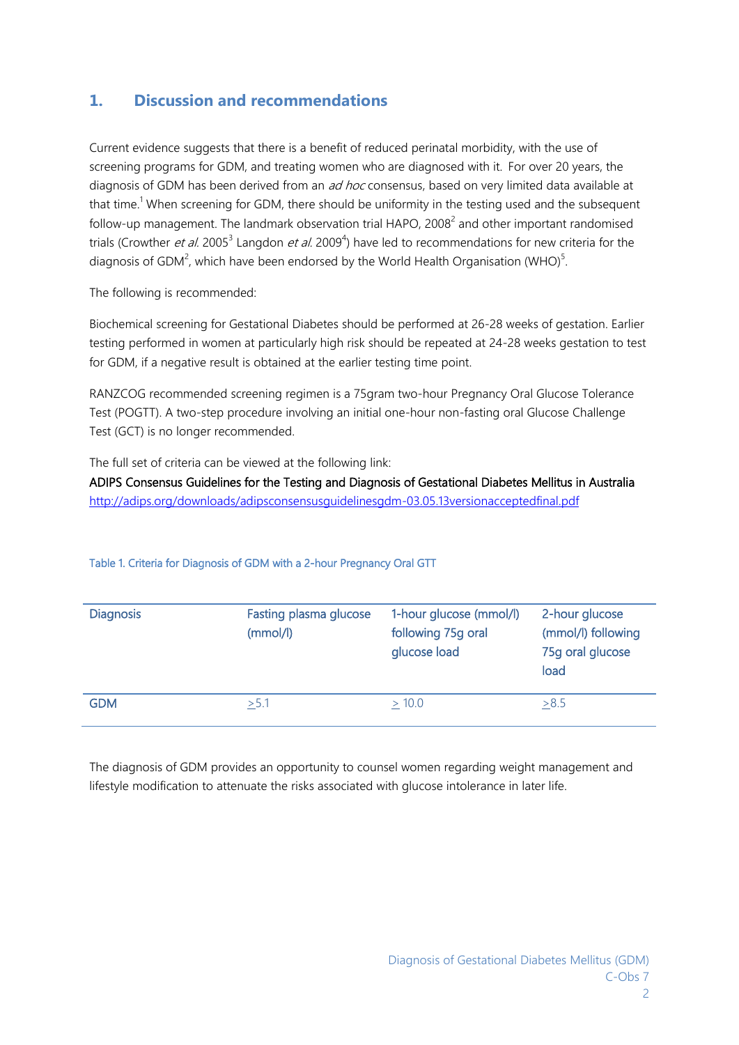# **1. Discussion and recommendations**

Current evidence suggests that there is a benefit of reduced perinatal morbidity, with the use of screening programs for GDM, and treating women who are diagnosed with it. For over 20 years, the diagnosis of GDM has been derived from an ad hoc consensus, based on very limited data available at that time.<sup>1</sup> When screening for GDM, there should be uniformity in the testing used and the subsequent follow-up management. The landmark observation trial HAPO, 2008<sup>2</sup> and other important randomised trials (Crowther *et al.* 2005<sup>3</sup> Langdon *et al.* 2009<sup>4</sup>) have led to recommendations for new criteria for the diagnosis of GDM<sup>2</sup>, which have been endorsed by the World Health Organisation (WHO)<sup>5</sup>.

The following is recommended:

Biochemical screening for Gestational Diabetes should be performed at 26-28 weeks of gestation. Earlier testing performed in women at particularly high risk should be repeated at 24-28 weeks gestation to test for GDM, if a negative result is obtained at the earlier testing time point.

RANZCOG recommended screening regimen is a 75gram two-hour Pregnancy Oral Glucose Tolerance Test (POGTT). A two-step procedure involving an initial one-hour non-fasting oral Glucose Challenge Test (GCT) is no longer recommended.

The full set of criteria can be viewed at the following link:

ADIPS Consensus Guidelines for the Testing and Diagnosis of Gestational Diabetes Mellitus in Australia <http://adips.org/downloads/adipsconsensusguidelinesgdm-03.05.13versionacceptedfinal.pdf>

| <b>Diagnosis</b> | Fasting plasma glucose<br>(mmol/l) | 1-hour glucose (mmol/l)<br>following 75g oral<br>glucose load | 2-hour glucose<br>(mmol/l) following<br>75g oral glucose<br>load |
|------------------|------------------------------------|---------------------------------------------------------------|------------------------------------------------------------------|
| <b>GDM</b>       | > 5.1                              | $\geq 10.0$                                                   | >8.5                                                             |

#### Table 1. Criteria for Diagnosis of GDM with a 2-hour Pregnancy Oral GTT

The diagnosis of GDM provides an opportunity to counsel women regarding weight management and lifestyle modification to attenuate the risks associated with glucose intolerance in later life.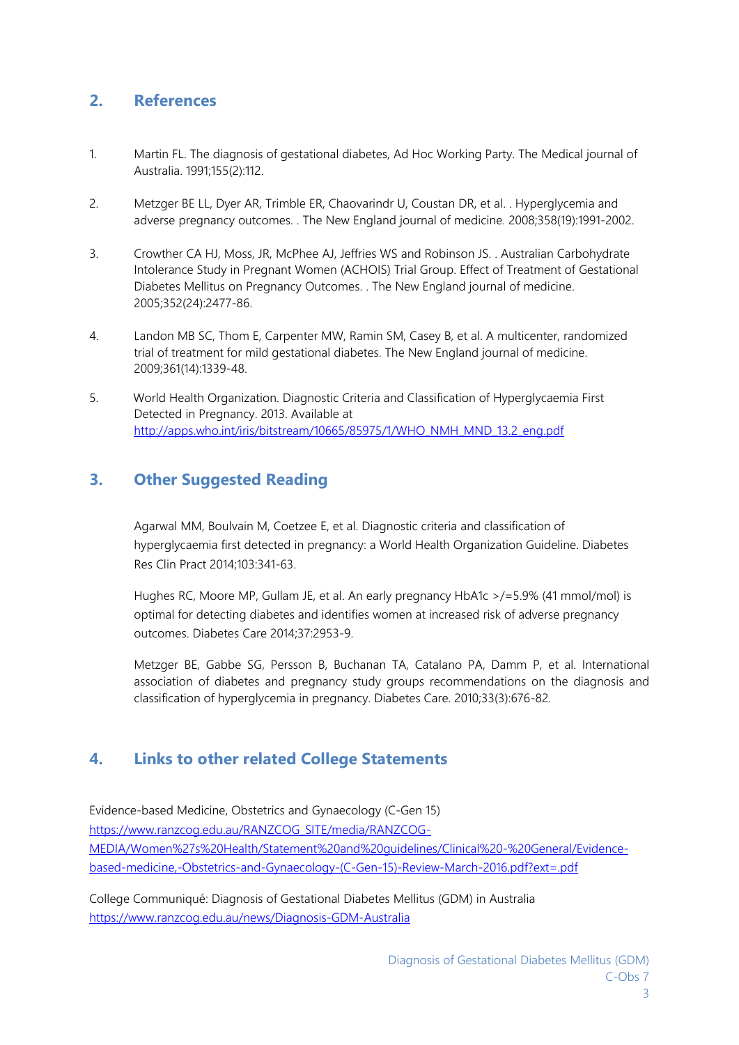# **2. References**

- 1. Martin FL. The diagnosis of gestational diabetes, Ad Hoc Working Party. The Medical journal of Australia. 1991;155(2):112.
- 2. Metzger BE LL, Dyer AR, Trimble ER, Chaovarindr U, Coustan DR, et al. . Hyperglycemia and adverse pregnancy outcomes. . The New England journal of medicine. 2008;358(19):1991-2002.
- 3. Crowther CA HJ, Moss, JR, McPhee AJ, Jeffries WS and Robinson JS. . Australian Carbohydrate Intolerance Study in Pregnant Women (ACHOIS) Trial Group. Effect of Treatment of Gestational Diabetes Mellitus on Pregnancy Outcomes. . The New England journal of medicine. 2005;352(24):2477-86.
- 4. Landon MB SC, Thom E, Carpenter MW, Ramin SM, Casey B, et al. A multicenter, randomized trial of treatment for mild gestational diabetes. The New England journal of medicine. 2009;361(14):1339-48.
- 5. World Health Organization. Diagnostic Criteria and Classification of Hyperglycaemia First Detected in Pregnancy. 2013. Available at [http://apps.who.int/iris/bitstream/10665/85975/1/WHO\\_NMH\\_MND\\_13.2\\_eng.pdf](http://apps.who.int/iris/bitstream/10665/85975/1/WHO_NMH_MND_13.2_eng.pdf)

# **3. Other Suggested Reading**

Agarwal MM, Boulvain M, Coetzee E, et al. Diagnostic criteria and classification of hyperglycaemia first detected in pregnancy: a World Health Organization Guideline. Diabetes Res Clin Pract 2014;103:341-63.

Hughes RC, Moore MP, Gullam JE, et al. An early pregnancy HbA1c >/=5.9% (41 mmol/mol) is optimal for detecting diabetes and identifies women at increased risk of adverse pregnancy outcomes. Diabetes Care 2014;37:2953-9.

Metzger BE, Gabbe SG, Persson B, Buchanan TA, Catalano PA, Damm P, et al. International association of diabetes and pregnancy study groups recommendations on the diagnosis and classification of hyperglycemia in pregnancy. Diabetes Care. 2010;33(3):676-82.

#### **4. Links to other related College Statements**

Evidence-based Medicine, Obstetrics and Gynaecology (C-Gen 15) [https://www.ranzcog.edu.au/RANZCOG\\_SITE/media/RANZCOG-](https://www.ranzcog.edu.au/RANZCOG_SITE/media/RANZCOG-MEDIA/Women%27s%20Health/Statement%20and%20guidelines/Clinical%20-%20General/Evidence-based-medicine,-Obstetrics-and-Gynaecology-(C-Gen-15)-Review-March-2016.pdf?ext=.pdf)[MEDIA/Women%27s%20Health/Statement%20and%20guidelines/Clinical%20-%20General/Evidence](https://www.ranzcog.edu.au/RANZCOG_SITE/media/RANZCOG-MEDIA/Women%27s%20Health/Statement%20and%20guidelines/Clinical%20-%20General/Evidence-based-medicine,-Obstetrics-and-Gynaecology-(C-Gen-15)-Review-March-2016.pdf?ext=.pdf)[based-medicine,-Obstetrics-and-Gynaecology-\(C-Gen-15\)-Review-March-2016.pdf?ext=.pdf](https://www.ranzcog.edu.au/RANZCOG_SITE/media/RANZCOG-MEDIA/Women%27s%20Health/Statement%20and%20guidelines/Clinical%20-%20General/Evidence-based-medicine,-Obstetrics-and-Gynaecology-(C-Gen-15)-Review-March-2016.pdf?ext=.pdf)

College Communiqué: Diagnosis of Gestational Diabetes Mellitus (GDM) in Australia <https://www.ranzcog.edu.au/news/Diagnosis-GDM-Australia>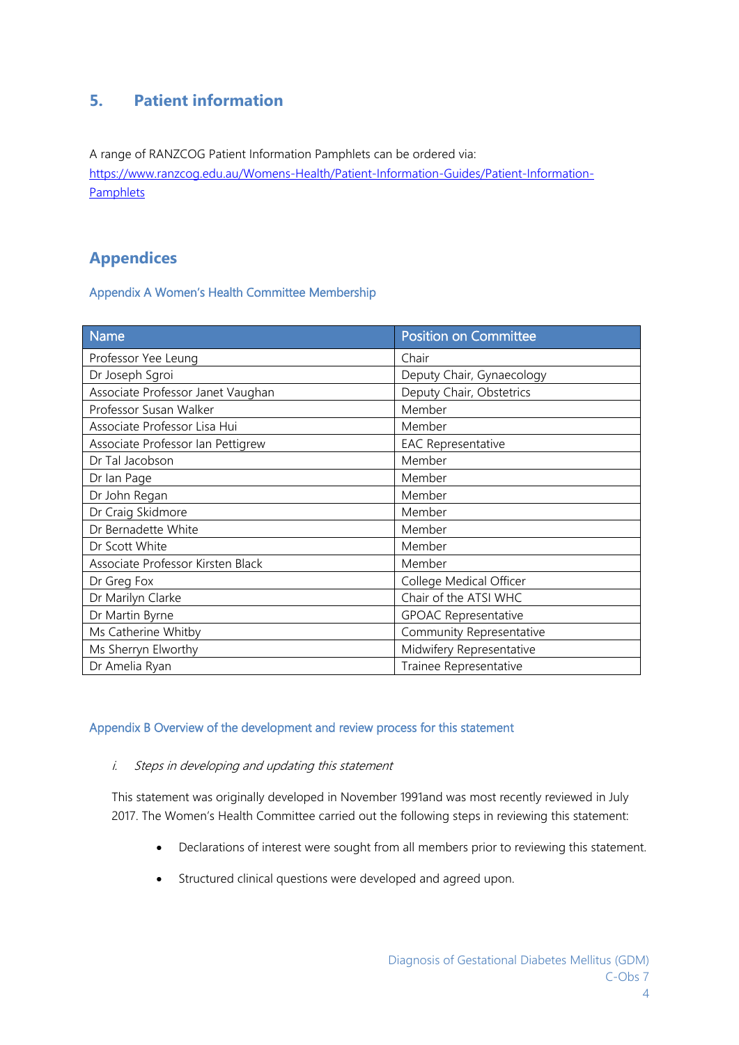# **5. Patient information**

A range of RANZCOG Patient Information Pamphlets can be ordered via: [https://www.ranzcog.edu.au/Womens-Health/Patient-Information-Guides/Patient-Information-](https://www.ranzcog.edu.au/Womens-Health/Patient-Information-Guides/Patient-Information-Pamphlets)**[Pamphlets](https://www.ranzcog.edu.au/Womens-Health/Patient-Information-Guides/Patient-Information-Pamphlets)** 

# **Appendices**

Appendix A Women's Health Committee Membership

| Name                              | <b>Position on Committee</b> |  |
|-----------------------------------|------------------------------|--|
| Professor Yee Leung               | Chair                        |  |
| Dr Joseph Sgroi                   | Deputy Chair, Gynaecology    |  |
| Associate Professor Janet Vaughan | Deputy Chair, Obstetrics     |  |
| Professor Susan Walker            | Member                       |  |
| Associate Professor Lisa Hui      | Member                       |  |
| Associate Professor Ian Pettigrew | <b>EAC Representative</b>    |  |
| Dr Tal Jacobson                   | Member                       |  |
| Dr Ian Page                       | Member                       |  |
| Dr John Regan                     | Member                       |  |
| Dr Craig Skidmore                 | Member                       |  |
| Dr Bernadette White               | Member                       |  |
| Dr Scott White                    | Member                       |  |
| Associate Professor Kirsten Black | Member                       |  |
| Dr Greg Fox                       | College Medical Officer      |  |
| Dr Marilyn Clarke                 | Chair of the ATSI WHC        |  |
| Dr Martin Byrne                   | <b>GPOAC Representative</b>  |  |
| Ms Catherine Whitby               | Community Representative     |  |
| Ms Sherryn Elworthy               | Midwifery Representative     |  |
| Dr Amelia Ryan                    | Trainee Representative       |  |

#### Appendix B Overview of the development and review process for this statement

#### i. Steps in developing and updating this statement

This statement was originally developed in November 1991and was most recently reviewed in July 2017. The Women's Health Committee carried out the following steps in reviewing this statement:

- Declarations of interest were sought from all members prior to reviewing this statement.
- Structured clinical questions were developed and agreed upon.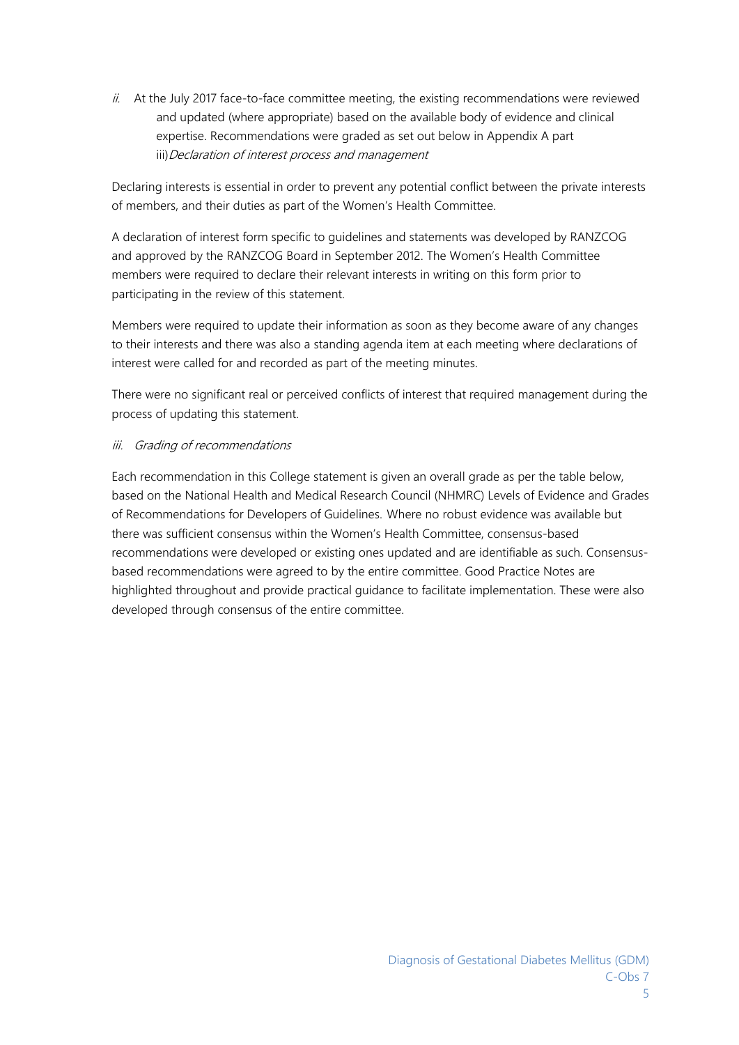$ii.$  At the July 2017 face-to-face committee meeting, the existing recommendations were reviewed and updated (where appropriate) based on the available body of evidence and clinical expertise. Recommendations were graded as set out below in Appendix A part iii) Declaration of interest process and management

Declaring interests is essential in order to prevent any potential conflict between the private interests of members, and their duties as part of the Women's Health Committee.

A declaration of interest form specific to guidelines and statements was developed by RANZCOG and approved by the RANZCOG Board in September 2012. The Women's Health Committee members were required to declare their relevant interests in writing on this form prior to participating in the review of this statement.

Members were required to update their information as soon as they become aware of any changes to their interests and there was also a standing agenda item at each meeting where declarations of interest were called for and recorded as part of the meeting minutes.

There were no significant real or perceived conflicts of interest that required management during the process of updating this statement.

#### iii. Grading of recommendations

Each recommendation in this College statement is given an overall grade as per the table below, based on the National Health and Medical Research Council (NHMRC) Levels of Evidence and Grades of Recommendations for Developers of Guidelines. Where no robust evidence was available but there was sufficient consensus within the Women's Health Committee, consensus-based recommendations were developed or existing ones updated and are identifiable as such. Consensusbased recommendations were agreed to by the entire committee. Good Practice Notes are highlighted throughout and provide practical guidance to facilitate implementation. These were also developed through consensus of the entire committee.